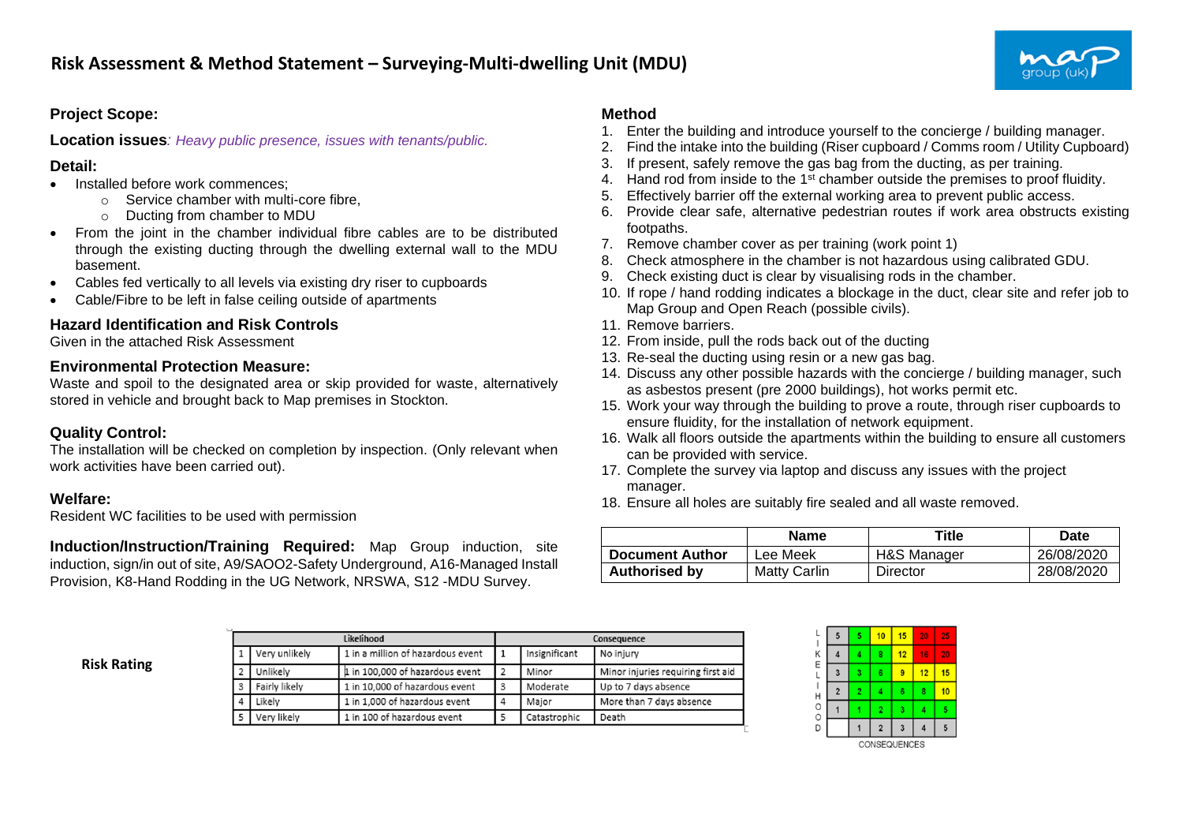# **Project Scope:**

**Location issues***: Heavy public presence, issues with tenants/public.*

### **Detail:**

- Installed before work commences:
	- o Service chamber with multi-core fibre,
	- o Ducting from chamber to MDU
- From the joint in the chamber individual fibre cables are to be distributed through the existing ducting through the dwelling external wall to the MDU basement.
- Cables fed vertically to all levels via existing dry riser to cupboards
- Cable/Fibre to be left in false ceiling outside of apartments

# **Hazard Identification and Risk Controls**

Given in the attached Risk Assessment

#### **Environmental Protection Measure:**

Waste and spoil to the designated area or skip provided for waste, alternatively stored in vehicle and brought back to Map premises in Stockton.

# **Quality Control:**

The installation will be checked on completion by inspection. (Only relevant when work activities have been carried out).

### **Welfare:**

Resident WC facilities to be used with permission

**Induction/Instruction/Training Required:** Map Group induction, site induction, sign/in out of site, A9/SAOO2-Safety Underground, A16-Managed Install Provision, K8-Hand Rodding in the UG Network, NRSWA, S12 -MDU Survey.

### **Method**

- 1. Enter the building and introduce yourself to the concierge / building manager.
- 2. Find the intake into the building (Riser cupboard / Comms room / Utility Cupboard)
- 3. If present, safely remove the gas bag from the ducting, as per training.
- 4. Hand rod from inside to the 1<sup>st</sup> chamber outside the premises to proof fluidity.
- 5. Effectively barrier off the external working area to prevent public access.
- 6. Provide clear safe, alternative pedestrian routes if work area obstructs existing footpaths.
- 7. Remove chamber cover as per training (work point 1)
- 8. Check atmosphere in the chamber is not hazardous using calibrated GDU.
- 9. Check existing duct is clear by visualising rods in the chamber.
- 10. If rope / hand rodding indicates a blockage in the duct, clear site and refer job to Map Group and Open Reach (possible civils).
- 11. Remove barriers.
- 12. From inside, pull the rods back out of the ducting
- 13. Re-seal the ducting using resin or a new gas bag.
- 14. Discuss any other possible hazards with the concierge / building manager, such as asbestos present (pre 2000 buildings), hot works permit etc.
- 15. Work your way through the building to prove a route, through riser cupboards to ensure fluidity, for the installation of network equipment.
- 16. Walk all floors outside the apartments within the building to ensure all customers can be provided with service.
- 17. Complete the survey via laptop and discuss any issues with the project manager.
- 18. Ensure all holes are suitably fire sealed and all waste removed.

|                        | <b>Name</b>  | Title       | Date       |
|------------------------|--------------|-------------|------------|
| <b>Document Author</b> | Lee Meek     | H&S Manager | 26/08/2020 |
| <b>Authorised by</b>   | Matty Carlin | Director    | 28/08/2020 |

**Risk Rating**

|               | Likelihood                        | Consequence    |               |                                    |  |  |
|---------------|-----------------------------------|----------------|---------------|------------------------------------|--|--|
| Very unlikely | 1 in a million of hazardous event |                | Insignificant | No injury                          |  |  |
| Unlikely      | 1 in 100,000 of hazardous event   |                | Minor         | Minor injuries requiring first aid |  |  |
| Fairly likely | 1 in 10,000 of hazardous event    | 3              | Moderate      | Up to 7 days absence               |  |  |
| Likelv        | 1 in 1,000 of hazardous event     | $\overline{4}$ | Major         | More than 7 days absence           |  |  |
| Very likely   | 1 in 100 of hazardous event       |                | Catastrophic  | Death                              |  |  |

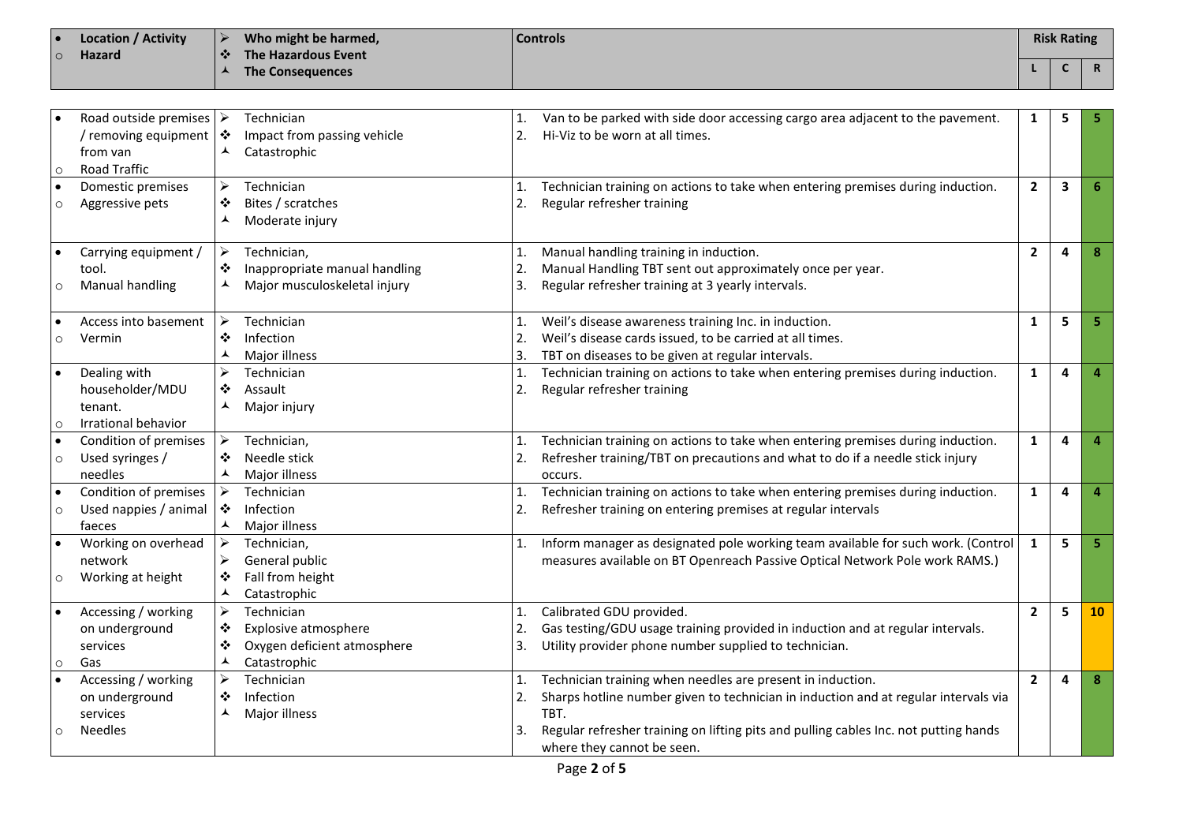| <b>Location / Activity</b> | Who might be harmed,               | <b>Controls</b> | <b>Risk Rating</b> |  |
|----------------------------|------------------------------------|-----------------|--------------------|--|
| <b>Hazard</b>              | The Hazardous Event<br>$\bullet$ . |                 |                    |  |
|                            | The Consequences                   |                 |                    |  |

|           | Road outside premises $\triangleright$<br>removing equipment<br>from van | ❖<br>$\blacktriangle$ | Technician<br>Impact from passing vehicle<br>Catastrophic | 2. | Van to be parked with side door accessing cargo area adjacent to the pavement.<br>Hi-Viz to be worn at all times. | 1              | 5 |    |
|-----------|--------------------------------------------------------------------------|-----------------------|-----------------------------------------------------------|----|-------------------------------------------------------------------------------------------------------------------|----------------|---|----|
| $\circ$   | Road Traffic                                                             |                       |                                                           |    |                                                                                                                   |                |   |    |
| $\bullet$ | Domestic premises                                                        | ➤                     | Technician                                                | 1. | Technician training on actions to take when entering premises during induction.                                   | $\mathbf{2}$   | 3 |    |
| $\circ$   | Aggressive pets                                                          | ❖                     | Bites / scratches                                         | 2. | Regular refresher training                                                                                        |                |   |    |
|           |                                                                          | ⅄                     | Moderate injury                                           |    |                                                                                                                   |                |   |    |
|           | Carrying equipment /                                                     | ➤                     | Technician,                                               | 1. | Manual handling training in induction.                                                                            | $\overline{2}$ | 4 |    |
|           | tool.                                                                    | ❖                     | Inappropriate manual handling                             | 2. | Manual Handling TBT sent out approximately once per year.                                                         |                |   |    |
| $\circ$   | <b>Manual handling</b>                                                   | ▴                     | Major musculoskeletal injury                              | 3. | Regular refresher training at 3 yearly intervals.                                                                 |                |   |    |
|           | Access into basement                                                     | ➤                     | Technician                                                | 1. | Weil's disease awareness training Inc. in induction.                                                              | 1              | 5 |    |
| $\circ$   | Vermin                                                                   | ❖                     | Infection                                                 | 2. | Weil's disease cards issued, to be carried at all times.                                                          |                |   |    |
|           |                                                                          | ▴                     | Major illness                                             | 3. | TBT on diseases to be given at regular intervals.                                                                 |                |   |    |
|           | Dealing with                                                             |                       | Technician                                                | 1. | Technician training on actions to take when entering premises during induction.                                   | 1              | 4 |    |
|           | householder/MDU                                                          | ❖                     | Assault                                                   | 2. | Regular refresher training                                                                                        |                |   |    |
|           | tenant.                                                                  |                       | Major injury                                              |    |                                                                                                                   |                |   |    |
| $\circ$   | Irrational behavior                                                      |                       |                                                           |    |                                                                                                                   |                |   |    |
| $\bullet$ | Condition of premises                                                    | ➤                     | Technician,                                               | 1. | Technician training on actions to take when entering premises during induction.                                   | 1              | 4 |    |
| $\circ$   | Used syringes /                                                          | ❖                     | Needle stick                                              | 2. | Refresher training/TBT on precautions and what to do if a needle stick injury                                     |                |   |    |
|           | needles                                                                  | $\blacktriangle$      | Major illness                                             |    | occurs.                                                                                                           |                |   |    |
| $\bullet$ | Condition of premises                                                    | ➤                     | Technician                                                |    | Technician training on actions to take when entering premises during induction.                                   | 1              | 4 |    |
| $\circ$   | Used nappies / animal                                                    | ❖                     | Infection                                                 | 2. | Refresher training on entering premises at regular intervals                                                      |                |   |    |
|           | faeces                                                                   | ⅄                     | Major illness                                             |    |                                                                                                                   |                |   |    |
|           | Working on overhead                                                      | $\blacktriangleright$ | Technician,                                               | 1. | Inform manager as designated pole working team available for such work. (Control                                  | $\mathbf{1}$   | 5 |    |
|           | network                                                                  | ➤                     | General public                                            |    | measures available on BT Openreach Passive Optical Network Pole work RAMS.)                                       |                |   |    |
| $\circ$   | Working at height                                                        | ❖                     | Fall from height                                          |    |                                                                                                                   |                |   |    |
|           |                                                                          | ⋏                     | Catastrophic                                              |    |                                                                                                                   |                |   |    |
|           | Accessing / working                                                      | ➤                     | Technician                                                | 1. | Calibrated GDU provided.                                                                                          | $\overline{2}$ | 5 | 10 |
|           | on underground                                                           | ❖                     | Explosive atmosphere                                      | 2. | Gas testing/GDU usage training provided in induction and at regular intervals.                                    |                |   |    |
|           | services                                                                 | ❖                     | Oxygen deficient atmosphere                               | 3. | Utility provider phone number supplied to technician.                                                             |                |   |    |
| $\circ$   | Gas                                                                      | ▲                     | Catastrophic                                              |    |                                                                                                                   |                |   |    |
|           | Accessing / working                                                      | ⋗                     | Technician                                                | 1. | Technician training when needles are present in induction.                                                        | $\mathbf{2}$   | 4 |    |
|           | on underground                                                           | ❖                     | Infection                                                 | 2. | Sharps hotline number given to technician in induction and at regular intervals via                               |                |   |    |
|           | services                                                                 | ⋏                     | Major illness                                             |    | TBT.                                                                                                              |                |   |    |
| $\circ$   | <b>Needles</b>                                                           |                       |                                                           | 3. | Regular refresher training on lifting pits and pulling cables Inc. not putting hands                              |                |   |    |
|           |                                                                          |                       |                                                           |    | where they cannot be seen.                                                                                        |                |   |    |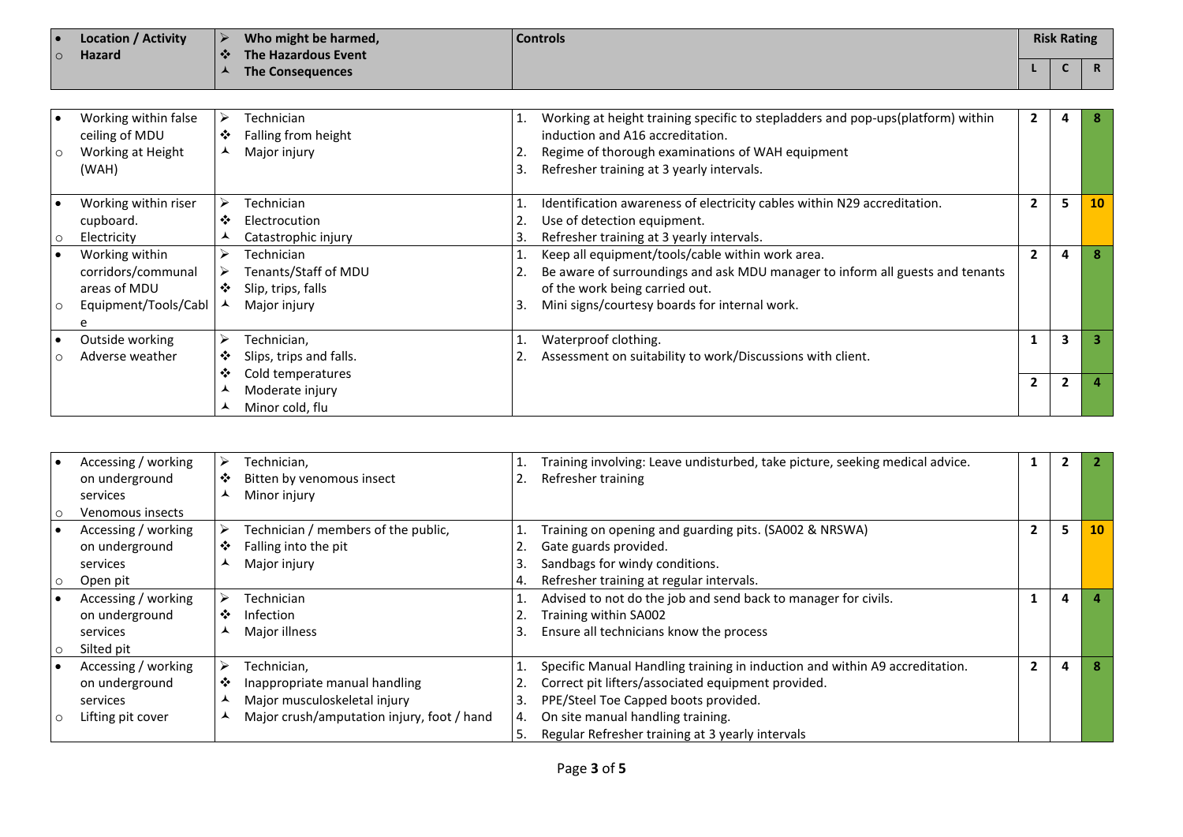| ∣ е                | Location / Activity |           | Who might be harmed, | <b>Controls</b> | <b>Risk Rating</b> |  |
|--------------------|---------------------|-----------|----------------------|-----------------|--------------------|--|
| $\overline{\circ}$ | <b>Hazard</b>       | $\bullet$ | The Hazardous Event  |                 |                    |  |
|                    |                     |           | The Consequences     |                 |                    |  |

| $\circ$ | Working within false<br>ceiling of MDU<br>Working at Height<br>(WAH)              | ❖<br>▴ | Technician<br>Falling from height<br>Major injury                        | 3. | Working at height training specific to stepladders and pop-ups(platform) within<br>induction and A16 accreditation.<br>Regime of thorough examinations of WAH equipment<br>Refresher training at 3 yearly intervals. |                |                |           |
|---------|-----------------------------------------------------------------------------------|--------|--------------------------------------------------------------------------|----|----------------------------------------------------------------------------------------------------------------------------------------------------------------------------------------------------------------------|----------------|----------------|-----------|
|         | Working within riser<br>cupboard.<br>Electricity                                  | ❖      | Technician<br>Electrocution<br>Catastrophic injury                       |    | Identification awareness of electricity cables within N29 accreditation.<br>Use of detection equipment.<br>Refresher training at 3 yearly intervals.                                                                 | $\mathbf{2}$   | 5              | <b>10</b> |
|         | Working within<br>corridors/communal<br>areas of MDU<br>Equipment/Tools/Cabl<br>e | ⋗<br>❖ | Technician<br>Tenants/Staff of MDU<br>Slip, trips, falls<br>Major injury |    | Keep all equipment/tools/cable within work area.<br>Be aware of surroundings and ask MDU manager to inform all guests and tenants<br>of the work being carried out.<br>Mini signs/courtesy boards for internal work. |                | 4              |           |
|         | Outside working<br>Adverse weather                                                | ➤<br>❖ | Technician,<br>Slips, trips and falls.                                   |    | Waterproof clothing.<br>Assessment on suitability to work/Discussions with client.                                                                                                                                   |                | $\mathbf{3}$   |           |
|         |                                                                                   | ❖      | Cold temperatures<br>Moderate injury<br>Minor cold, flu                  |    |                                                                                                                                                                                                                      | $\overline{2}$ | $\overline{2}$ |           |

| Accessing / working | ⋗ | Technician,                                |    | Training involving: Leave undisturbed, take picture, seeking medical advice. |                |   |           |
|---------------------|---|--------------------------------------------|----|------------------------------------------------------------------------------|----------------|---|-----------|
| on underground      | ❖ | Bitten by venomous insect                  |    | Refresher training                                                           |                |   |           |
| services            |   | Minor injury                               |    |                                                                              |                |   |           |
| Venomous insects    |   |                                            |    |                                                                              |                |   |           |
| Accessing / working | ⋗ | Technician / members of the public,        |    | Training on opening and guarding pits. (SA002 & NRSWA)                       | 2              | 5 | <b>10</b> |
| on underground      | ❖ | Falling into the pit                       |    | Gate guards provided.                                                        |                |   |           |
| services            |   | Major injury                               |    | Sandbags for windy conditions.                                               |                |   |           |
| Open pit            |   |                                            |    | Refresher training at regular intervals.                                     |                |   |           |
| Accessing / working |   | Technician                                 |    | Advised to not do the job and send back to manager for civils.               |                | 4 |           |
| on underground      | ❖ | Infection                                  |    | Training within SA002                                                        |                |   |           |
| services            |   | Major illness                              |    | Ensure all technicians know the process                                      |                |   |           |
| Silted pit          |   |                                            |    |                                                                              |                |   |           |
| Accessing / working |   | Technician,                                |    | Specific Manual Handling training in induction and within A9 accreditation.  | $\overline{2}$ |   |           |
| on underground      | ❖ | Inappropriate manual handling              |    | Correct pit lifters/associated equipment provided.                           |                |   |           |
| services            | ᄉ | Major musculoskeletal injury               |    | PPE/Steel Toe Capped boots provided.                                         |                |   |           |
| Lifting pit cover   |   | Major crush/amputation injury, foot / hand | 4. | On site manual handling training.                                            |                |   |           |
|                     |   |                                            |    | Regular Refresher training at 3 yearly intervals                             |                |   |           |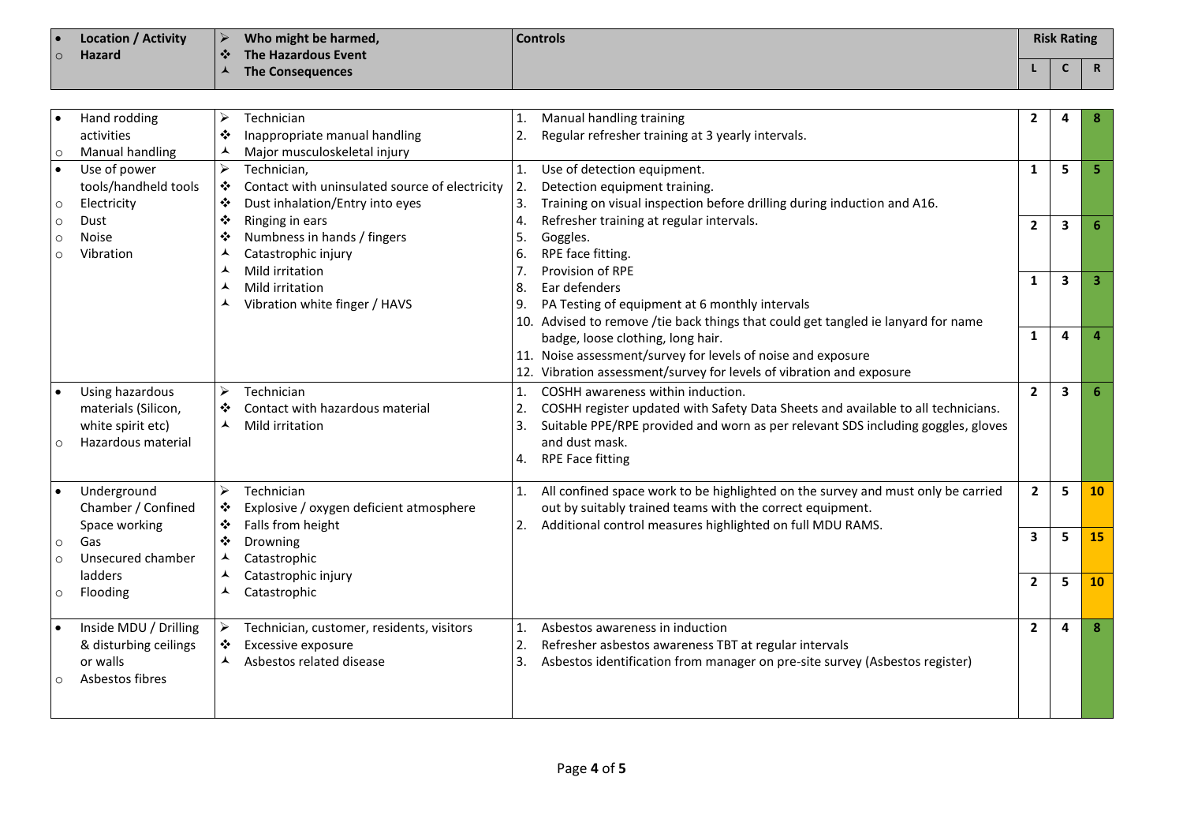| Location / Activity<br>∣ ● | Who might be harmed,             | <b>Controls</b> | <b>Risk Rating</b> |  |
|----------------------------|----------------------------------|-----------------|--------------------|--|
| <b>Hazard</b><br>$\circ$   | The Hazardous Event<br>$\bullet$ |                 |                    |  |
|                            | <b>The Consequences</b>          |                 |                    |  |

|                    | Hand rodding<br>activities                                                        | ➤<br>❖                          | Technician<br>Inappropriate manual handling                                                      | 1.<br>2.             | Manual handling training<br>Regular refresher training at 3 yearly intervals.                                                                                                                                                                          | $\mathbf{2}$   | 4            | 8        |
|--------------------|-----------------------------------------------------------------------------------|---------------------------------|--------------------------------------------------------------------------------------------------|----------------------|--------------------------------------------------------------------------------------------------------------------------------------------------------------------------------------------------------------------------------------------------------|----------------|--------------|----------|
| $\circ$            | Manual handling                                                                   | ▴                               | Major musculoskeletal injury                                                                     |                      |                                                                                                                                                                                                                                                        |                |              |          |
| $\circ$            | Use of power<br>tools/handheld tools<br>Electricity                               | $\blacktriangleright$<br>❖<br>❖ | Technician.<br>Contact with uninsulated source of electricity<br>Dust inhalation/Entry into eyes | 1.<br>2.<br>3.       | Use of detection equipment.<br>Detection equipment training.<br>Training on visual inspection before drilling during induction and A16.                                                                                                                | $\mathbf{1}$   | 5            | 5        |
| $\circ$<br>∩<br>O  | Dust<br><b>Noise</b><br>Vibration                                                 | ❖<br>❖<br>▴                     | Ringing in ears<br>Numbness in hands / fingers<br>Catastrophic injury                            | 4.<br>5.<br>6.       | Refresher training at regular intervals.<br>Goggles.<br>RPE face fitting.                                                                                                                                                                              | $\overline{2}$ | 3            | 6        |
|                    |                                                                                   | ▴<br>▴                          | Mild irritation<br>Mild irritation<br>Vibration white finger / HAVS                              | 7.<br>8.<br>9.       | Provision of RPE<br>Ear defenders<br>PA Testing of equipment at 6 monthly intervals<br>10. Advised to remove /tie back things that could get tangled ie lanyard for name                                                                               | 1              | $\mathbf{3}$ | 3        |
|                    |                                                                                   |                                 |                                                                                                  |                      | badge, loose clothing, long hair.<br>11. Noise assessment/survey for levels of noise and exposure<br>12. Vibration assessment/survey for levels of vibration and exposure                                                                              | $\mathbf{1}$   | 4            | $\Delta$ |
|                    | Using hazardous<br>materials (Silicon,<br>white spirit etc)<br>Hazardous material | ↘<br>❖<br>▴                     | Technician<br>Contact with hazardous material<br>Mild irritation                                 | 1.<br>2.<br>3.<br>4. | COSHH awareness within induction.<br>COSHH register updated with Safety Data Sheets and available to all technicians.<br>Suitable PPE/RPE provided and worn as per relevant SDS including goggles, gloves<br>and dust mask.<br><b>RPE Face fitting</b> | $\overline{2}$ | $\mathbf{3}$ | 6        |
|                    | Underground<br>Chamber / Confined<br>Space working                                | ➤<br>❖<br>❖                     | Technician<br>Explosive / oxygen deficient atmosphere<br>Falls from height                       | 1.<br>2.             | All confined space work to be highlighted on the survey and must only be carried<br>out by suitably trained teams with the correct equipment.<br>Additional control measures highlighted on full MDU RAMS.                                             | $\overline{2}$ | 5            | 10       |
| $\circ$<br>$\circ$ | Gas<br>Unsecured chamber                                                          | ❖<br>▴                          | Drowning<br>Catastrophic                                                                         |                      |                                                                                                                                                                                                                                                        | 3              | 5            | 15       |
| $\circ$            | ladders<br>Flooding                                                               | ▴<br>▴                          | Catastrophic injury<br>Catastrophic                                                              |                      |                                                                                                                                                                                                                                                        | $\overline{2}$ | 5            | 10       |
|                    | Inside MDU / Drilling<br>& disturbing ceilings<br>or walls<br>Asbestos fibres     | ➤<br>❖<br>▴                     | Technician, customer, residents, visitors<br>Excessive exposure<br>Asbestos related disease      | 1.<br>2.<br>3.       | Asbestos awareness in induction<br>Refresher asbestos awareness TBT at regular intervals<br>Asbestos identification from manager on pre-site survey (Asbestos register)                                                                                | $\overline{2}$ | 4            | 8        |